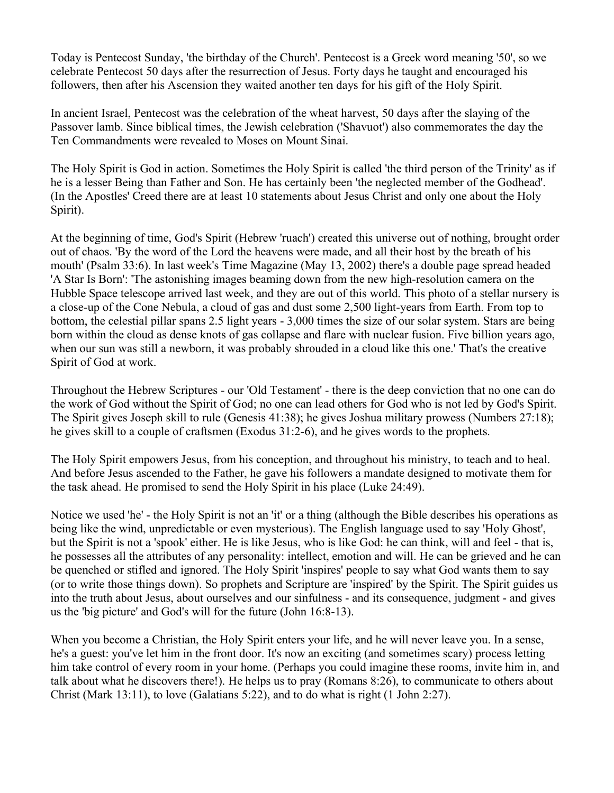Today is Pentecost Sunday, 'the birthday of the Church'. Pentecost is a Greek word meaning '50', so we celebrate Pentecost 50 days after the resurrection of Jesus. Forty days he taught and encouraged his followers, then after his Ascension they waited another ten days for his gift of the Holy Spirit.

In ancient Israel, Pentecost was the celebration of the wheat harvest, 50 days after the slaying of the Passover lamb. Since biblical times, the Jewish celebration ('Shavuot') also commemorates the day the Ten Commandments were revealed to Moses on Mount Sinai.

The Holy Spirit is God in action. Sometimes the Holy Spirit is called 'the third person of the Trinity' as if he is a lesser Being than Father and Son. He has certainly been 'the neglected member of the Godhead'. (In the Apostles' Creed there are at least 10 statements about Jesus Christ and only one about the Holy Spirit).

At the beginning of time, God's Spirit (Hebrew 'ruach') created this universe out of nothing, brought order out of chaos. 'By the word of the Lord the heavens were made, and all their host by the breath of his mouth' (Psalm 33:6). In last week's Time Magazine (May 13, 2002) there's a double page spread headed 'A Star Is Born': 'The astonishing images beaming down from the new high-resolution camera on the Hubble Space telescope arrived last week, and they are out of this world. This photo of a stellar nursery is a close-up of the Cone Nebula, a cloud of gas and dust some 2,500 light-years from Earth. From top to bottom, the celestial pillar spans 2.5 light years - 3,000 times the size of our solar system. Stars are being born within the cloud as dense knots of gas collapse and flare with nuclear fusion. Five billion years ago, when our sun was still a newborn, it was probably shrouded in a cloud like this one.' That's the creative Spirit of God at work.

Throughout the Hebrew Scriptures - our 'Old Testament' - there is the deep conviction that no one can do the work of God without the Spirit of God; no one can lead others for God who is not led by God's Spirit. The Spirit gives Joseph skill to rule (Genesis 41:38); he gives Joshua military prowess (Numbers 27:18); he gives skill to a couple of craftsmen (Exodus 31:2-6), and he gives words to the prophets.

The Holy Spirit empowers Jesus, from his conception, and throughout his ministry, to teach and to heal. And before Jesus ascended to the Father, he gave his followers a mandate designed to motivate them for the task ahead. He promised to send the Holy Spirit in his place (Luke 24:49).

Notice we used 'he' - the Holy Spirit is not an 'it' or a thing (although the Bible describes his operations as being like the wind, unpredictable or even mysterious). The English language used to say 'Holy Ghost', but the Spirit is not a 'spook' either. He is like Jesus, who is like God: he can think, will and feel - that is, he possesses all the attributes of any personality: intellect, emotion and will. He can be grieved and he can be quenched or stifled and ignored. The Holy Spirit 'inspires' people to say what God wants them to say (or to write those things down). So prophets and Scripture are 'inspired' by the Spirit. The Spirit guides us into the truth about Jesus, about ourselves and our sinfulness - and its consequence, judgment - and gives us the 'big picture' and God's will for the future (John 16:8-13).

When you become a Christian, the Holy Spirit enters your life, and he will never leave you. In a sense, he's a guest: you've let him in the front door. It's now an exciting (and sometimes scary) process letting him take control of every room in your home. (Perhaps you could imagine these rooms, invite him in, and talk about what he discovers there!). He helps us to pray (Romans 8:26), to communicate to others about Christ (Mark 13:11), to love (Galatians 5:22), and to do what is right (1 John 2:27).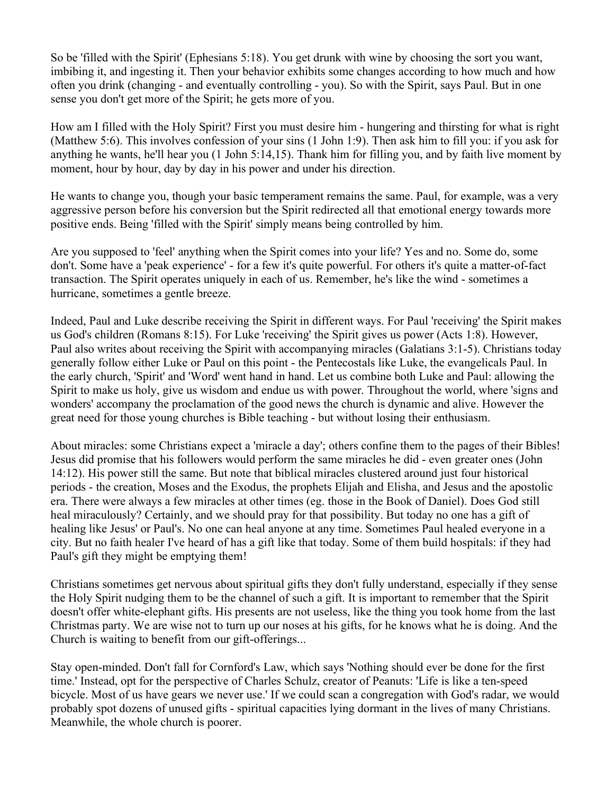So be 'filled with the Spirit' (Ephesians 5:18). You get drunk with wine by choosing the sort you want, imbibing it, and ingesting it. Then your behavior exhibits some changes according to how much and how often you drink (changing - and eventually controlling - you). So with the Spirit, says Paul. But in one sense you don't get more of the Spirit; he gets more of you.

How am I filled with the Holy Spirit? First you must desire him - hungering and thirsting for what is right (Matthew 5:6). This involves confession of your sins (1 John 1:9). Then ask him to fill you: if you ask for anything he wants, he'll hear you (1 John 5:14,15). Thank him for filling you, and by faith live moment by moment, hour by hour, day by day in his power and under his direction.

He wants to change you, though your basic temperament remains the same. Paul, for example, was a very aggressive person before his conversion but the Spirit redirected all that emotional energy towards more positive ends. Being 'filled with the Spirit' simply means being controlled by him.

Are you supposed to 'feel' anything when the Spirit comes into your life? Yes and no. Some do, some don't. Some have a 'peak experience' - for a few it's quite powerful. For others it's quite a matter-of-fact transaction. The Spirit operates uniquely in each of us. Remember, he's like the wind - sometimes a hurricane, sometimes a gentle breeze.

Indeed, Paul and Luke describe receiving the Spirit in different ways. For Paul 'receiving' the Spirit makes us God's children (Romans 8:15). For Luke 'receiving' the Spirit gives us power (Acts 1:8). However, Paul also writes about receiving the Spirit with accompanying miracles (Galatians 3:1-5). Christians today generally follow either Luke or Paul on this point - the Pentecostals like Luke, the evangelicals Paul. In the early church, 'Spirit' and 'Word' went hand in hand. Let us combine both Luke and Paul: allowing the Spirit to make us holy, give us wisdom and endue us with power. Throughout the world, where 'signs and wonders' accompany the proclamation of the good news the church is dynamic and alive. However the great need for those young churches is Bible teaching - but without losing their enthusiasm.

About miracles: some Christians expect a 'miracle a day'; others confine them to the pages of their Bibles! Jesus did promise that his followers would perform the same miracles he did - even greater ones (John 14:12). His power still the same. But note that biblical miracles clustered around just four historical periods - the creation, Moses and the Exodus, the prophets Elijah and Elisha, and Jesus and the apostolic era. There were always a few miracles at other times (eg. those in the Book of Daniel). Does God still heal miraculously? Certainly, and we should pray for that possibility. But today no one has a gift of healing like Jesus' or Paul's. No one can heal anyone at any time. Sometimes Paul healed everyone in a city. But no faith healer I've heard of has a gift like that today. Some of them build hospitals: if they had Paul's gift they might be emptying them!

Christians sometimes get nervous about spiritual gifts they don't fully understand, especially if they sense the Holy Spirit nudging them to be the channel of such a gift. It is important to remember that the Spirit doesn't offer white-elephant gifts. His presents are not useless, like the thing you took home from the last Christmas party. We are wise not to turn up our noses at his gifts, for he knows what he is doing. And the Church is waiting to benefit from our gift-offerings...

Stay open-minded. Don't fall for Cornford's Law, which says 'Nothing should ever be done for the first time.' Instead, opt for the perspective of Charles Schulz, creator of Peanuts: 'Life is like a ten-speed bicycle. Most of us have gears we never use.' If we could scan a congregation with God's radar, we would probably spot dozens of unused gifts - spiritual capacities lying dormant in the lives of many Christians. Meanwhile, the whole church is poorer.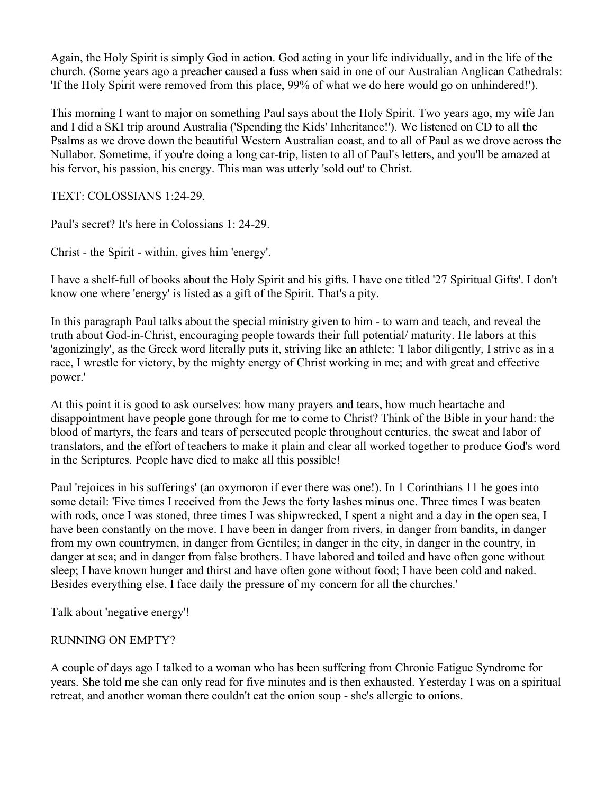Again, the Holy Spirit is simply God in action. God acting in your life individually, and in the life of the church. (Some years ago a preacher caused a fuss when said in one of our Australian Anglican Cathedrals: 'If the Holy Spirit were removed from this place, 99% of what we do here would go on unhindered!').

This morning I want to major on something Paul says about the Holy Spirit. Two years ago, my wife Jan and I did a SKI trip around Australia ('Spending the Kids' Inheritance!'). We listened on CD to all the Psalms as we drove down the beautiful Western Australian coast, and to all of Paul as we drove across the Nullabor. Sometime, if you're doing a long car-trip, listen to all of Paul's letters, and you'll be amazed at his fervor, his passion, his energy. This man was utterly 'sold out' to Christ.

TEXT: COLOSSIANS 1:24-29.

Paul's secret? It's here in Colossians 1: 24-29.

Christ - the Spirit - within, gives him 'energy'.

I have a shelf-full of books about the Holy Spirit and his gifts. I have one titled '27 Spiritual Gifts'. I don't know one where 'energy' is listed as a gift of the Spirit. That's a pity.

In this paragraph Paul talks about the special ministry given to him - to warn and teach, and reveal the truth about God-in-Christ, encouraging people towards their full potential/ maturity. He labors at this 'agonizingly', as the Greek word literally puts it, striving like an athlete: 'I labor diligently, I strive as in a race, I wrestle for victory, by the mighty energy of Christ working in me; and with great and effective power.'

At this point it is good to ask ourselves: how many prayers and tears, how much heartache and disappointment have people gone through for me to come to Christ? Think of the Bible in your hand: the blood of martyrs, the fears and tears of persecuted people throughout centuries, the sweat and labor of translators, and the effort of teachers to make it plain and clear all worked together to produce God's word in the Scriptures. People have died to make all this possible!

Paul 'rejoices in his sufferings' (an oxymoron if ever there was one!). In 1 Corinthians 11 he goes into some detail: 'Five times I received from the Jews the forty lashes minus one. Three times I was beaten with rods, once I was stoned, three times I was shipwrecked, I spent a night and a day in the open sea, I have been constantly on the move. I have been in danger from rivers, in danger from bandits, in danger from my own countrymen, in danger from Gentiles; in danger in the city, in danger in the country, in danger at sea; and in danger from false brothers. I have labored and toiled and have often gone without sleep; I have known hunger and thirst and have often gone without food; I have been cold and naked. Besides everything else, I face daily the pressure of my concern for all the churches.'

Talk about 'negative energy'!

## RUNNING ON EMPTY?

A couple of days ago I talked to a woman who has been suffering from Chronic Fatigue Syndrome for years. She told me she can only read for five minutes and is then exhausted. Yesterday I was on a spiritual retreat, and another woman there couldn't eat the onion soup - she's allergic to onions.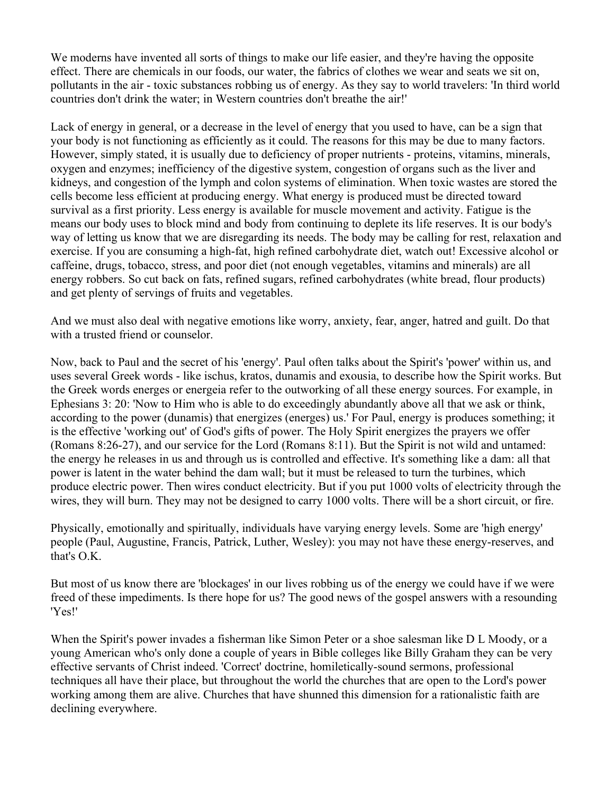We moderns have invented all sorts of things to make our life easier, and they're having the opposite effect. There are chemicals in our foods, our water, the fabrics of clothes we wear and seats we sit on, pollutants in the air - toxic substances robbing us of energy. As they say to world travelers: 'In third world countries don't drink the water; in Western countries don't breathe the air!'

Lack of energy in general, or a decrease in the level of energy that you used to have, can be a sign that your body is not functioning as efficiently as it could. The reasons for this may be due to many factors. However, simply stated, it is usually due to deficiency of proper nutrients - proteins, vitamins, minerals, oxygen and enzymes; inefficiency of the digestive system, congestion of organs such as the liver and kidneys, and congestion of the lymph and colon systems of elimination. When toxic wastes are stored the cells become less efficient at producing energy. What energy is produced must be directed toward survival as a first priority. Less energy is available for muscle movement and activity. Fatigue is the means our body uses to block mind and body from continuing to deplete its life reserves. It is our body's way of letting us know that we are disregarding its needs. The body may be calling for rest, relaxation and exercise. If you are consuming a high-fat, high refined carbohydrate diet, watch out! Excessive alcohol or caffeine, drugs, tobacco, stress, and poor diet (not enough vegetables, vitamins and minerals) are all energy robbers. So cut back on fats, refined sugars, refined carbohydrates (white bread, flour products) and get plenty of servings of fruits and vegetables.

And we must also deal with negative emotions like worry, anxiety, fear, anger, hatred and guilt. Do that with a trusted friend or counselor.

Now, back to Paul and the secret of his 'energy'. Paul often talks about the Spirit's 'power' within us, and uses several Greek words - like ischus, kratos, dunamis and exousia, to describe how the Spirit works. But the Greek words energes or energeia refer to the outworking of all these energy sources. For example, in Ephesians 3: 20: 'Now to Him who is able to do exceedingly abundantly above all that we ask or think, according to the power (dunamis) that energizes (energes) us.' For Paul, energy is produces something; it is the effective 'working out' of God's gifts of power. The Holy Spirit energizes the prayers we offer (Romans 8:26-27), and our service for the Lord (Romans 8:11). But the Spirit is not wild and untamed: the energy he releases in us and through us is controlled and effective. It's something like a dam: all that power is latent in the water behind the dam wall; but it must be released to turn the turbines, which produce electric power. Then wires conduct electricity. But if you put 1000 volts of electricity through the wires, they will burn. They may not be designed to carry 1000 volts. There will be a short circuit, or fire.

Physically, emotionally and spiritually, individuals have varying energy levels. Some are 'high energy' people (Paul, Augustine, Francis, Patrick, Luther, Wesley): you may not have these energy-reserves, and that's O.K.

But most of us know there are 'blockages' in our lives robbing us of the energy we could have if we were freed of these impediments. Is there hope for us? The good news of the gospel answers with a resounding 'Yes!'

When the Spirit's power invades a fisherman like Simon Peter or a shoe salesman like D L Moody, or a young American who's only done a couple of years in Bible colleges like Billy Graham they can be very effective servants of Christ indeed. 'Correct' doctrine, homiletically-sound sermons, professional techniques all have their place, but throughout the world the churches that are open to the Lord's power working among them are alive. Churches that have shunned this dimension for a rationalistic faith are declining everywhere.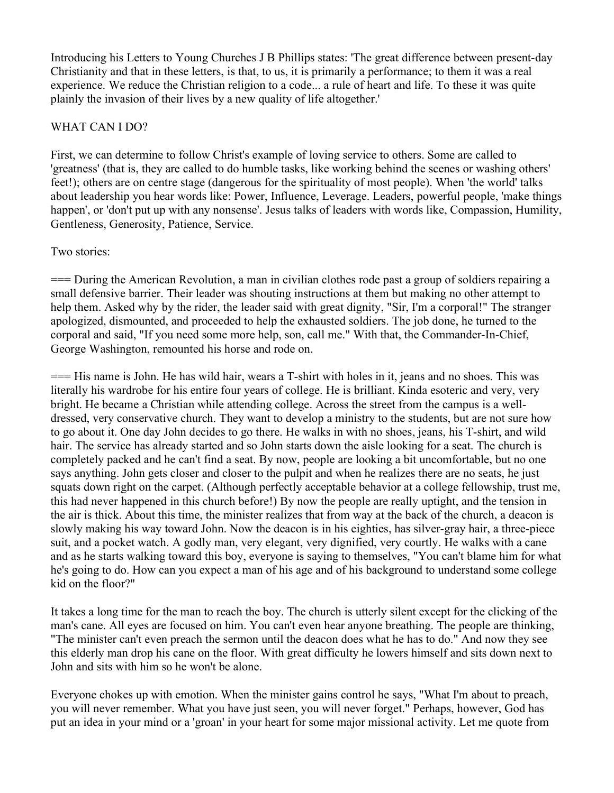Introducing his Letters to Young Churches J B Phillips states: 'The great difference between present-day Christianity and that in these letters, is that, to us, it is primarily a performance; to them it was a real experience. We reduce the Christian religion to a code... a rule of heart and life. To these it was quite plainly the invasion of their lives by a new quality of life altogether.'

# WHAT CAN I DO?

First, we can determine to follow Christ's example of loving service to others. Some are called to 'greatness' (that is, they are called to do humble tasks, like working behind the scenes or washing others' feet!); others are on centre stage (dangerous for the spirituality of most people). When 'the world' talks about leadership you hear words like: Power, Influence, Leverage. Leaders, powerful people, 'make things happen', or 'don't put up with any nonsense'. Jesus talks of leaders with words like, Compassion, Humility, Gentleness, Generosity, Patience, Service.

## Two stories:

=== During the American Revolution, a man in civilian clothes rode past a group of soldiers repairing a small defensive barrier. Their leader was shouting instructions at them but making no other attempt to help them. Asked why by the rider, the leader said with great dignity, "Sir, I'm a corporal!" The stranger apologized, dismounted, and proceeded to help the exhausted soldiers. The job done, he turned to the corporal and said, "If you need some more help, son, call me." With that, the Commander-In-Chief, George Washington, remounted his horse and rode on.

=== His name is John. He has wild hair, wears a T-shirt with holes in it, jeans and no shoes. This was literally his wardrobe for his entire four years of college. He is brilliant. Kinda esoteric and very, very bright. He became a Christian while attending college. Across the street from the campus is a welldressed, very conservative church. They want to develop a ministry to the students, but are not sure how to go about it. One day John decides to go there. He walks in with no shoes, jeans, his T-shirt, and wild hair. The service has already started and so John starts down the aisle looking for a seat. The church is completely packed and he can't find a seat. By now, people are looking a bit uncomfortable, but no one says anything. John gets closer and closer to the pulpit and when he realizes there are no seats, he just squats down right on the carpet. (Although perfectly acceptable behavior at a college fellowship, trust me, this had never happened in this church before!) By now the people are really uptight, and the tension in the air is thick. About this time, the minister realizes that from way at the back of the church, a deacon is slowly making his way toward John. Now the deacon is in his eighties, has silver-gray hair, a three-piece suit, and a pocket watch. A godly man, very elegant, very dignified, very courtly. He walks with a cane and as he starts walking toward this boy, everyone is saying to themselves, "You can't blame him for what he's going to do. How can you expect a man of his age and of his background to understand some college kid on the floor?"

It takes a long time for the man to reach the boy. The church is utterly silent except for the clicking of the man's cane. All eyes are focused on him. You can't even hear anyone breathing. The people are thinking, "The minister can't even preach the sermon until the deacon does what he has to do." And now they see this elderly man drop his cane on the floor. With great difficulty he lowers himself and sits down next to John and sits with him so he won't be alone.

Everyone chokes up with emotion. When the minister gains control he says, "What I'm about to preach, you will never remember. What you have just seen, you will never forget." Perhaps, however, God has put an idea in your mind or a 'groan' in your heart for some major missional activity. Let me quote from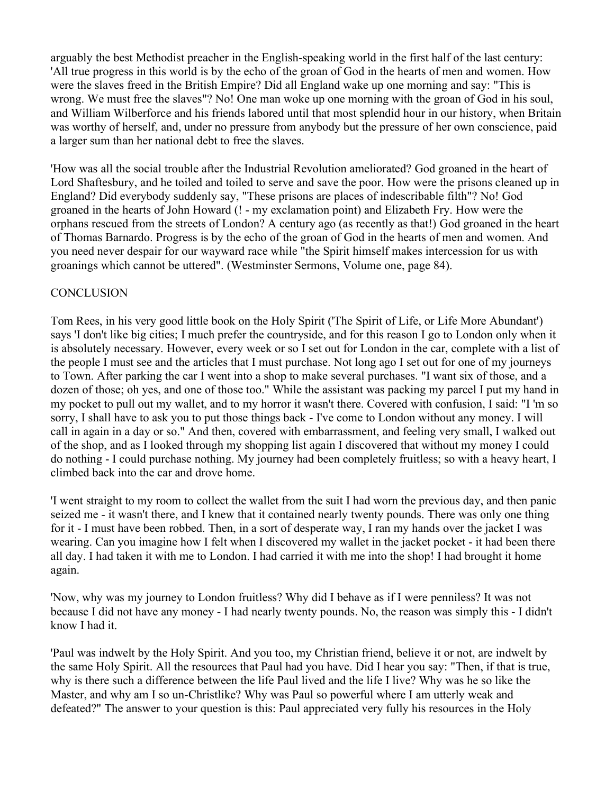arguably the best Methodist preacher in the English-speaking world in the first half of the last century: 'All true progress in this world is by the echo of the groan of God in the hearts of men and women. How were the slaves freed in the British Empire? Did all England wake up one morning and say: "This is wrong. We must free the slaves"? No! One man woke up one morning with the groan of God in his soul, and William Wilberforce and his friends labored until that most splendid hour in our history, when Britain was worthy of herself, and, under no pressure from anybody but the pressure of her own conscience, paid a larger sum than her national debt to free the slaves.

'How was all the social trouble after the Industrial Revolution ameliorated? God groaned in the heart of Lord Shaftesbury, and he toiled and toiled to serve and save the poor. How were the prisons cleaned up in England? Did everybody suddenly say, "These prisons are places of indescribable filth"? No! God groaned in the hearts of John Howard (! - my exclamation point) and Elizabeth Fry. How were the orphans rescued from the streets of London? A century ago (as recently as that!) God groaned in the heart of Thomas Barnardo. Progress is by the echo of the groan of God in the hearts of men and women. And you need never despair for our wayward race while "the Spirit himself makes intercession for us with groanings which cannot be uttered". (Westminster Sermons, Volume one, page 84).

### **CONCLUSION**

Tom Rees, in his very good little book on the Holy Spirit ('The Spirit of Life, or Life More Abundant') says 'I don't like big cities; I much prefer the countryside, and for this reason I go to London only when it is absolutely necessary. However, every week or so I set out for London in the car, complete with a list of the people I must see and the articles that I must purchase. Not long ago I set out for one of my journeys to Town. After parking the car I went into a shop to make several purchases. "I want six of those, and a dozen of those; oh yes, and one of those too." While the assistant was packing my parcel I put my hand in my pocket to pull out my wallet, and to my horror it wasn't there. Covered with confusion, I said: "I 'm so sorry, I shall have to ask you to put those things back - I've come to London without any money. I will call in again in a day or so." And then, covered with embarrassment, and feeling very small, I walked out of the shop, and as I looked through my shopping list again I discovered that without my money I could do nothing - I could purchase nothing. My journey had been completely fruitless; so with a heavy heart, I climbed back into the car and drove home.

'I went straight to my room to collect the wallet from the suit I had worn the previous day, and then panic seized me - it wasn't there, and I knew that it contained nearly twenty pounds. There was only one thing for it - I must have been robbed. Then, in a sort of desperate way, I ran my hands over the jacket I was wearing. Can you imagine how I felt when I discovered my wallet in the jacket pocket - it had been there all day. I had taken it with me to London. I had carried it with me into the shop! I had brought it home again.

'Now, why was my journey to London fruitless? Why did I behave as if I were penniless? It was not because I did not have any money - I had nearly twenty pounds. No, the reason was simply this - I didn't know I had it.

'Paul was indwelt by the Holy Spirit. And you too, my Christian friend, believe it or not, are indwelt by the same Holy Spirit. All the resources that Paul had you have. Did I hear you say: "Then, if that is true, why is there such a difference between the life Paul lived and the life I live? Why was he so like the Master, and why am I so un-Christlike? Why was Paul so powerful where I am utterly weak and defeated?" The answer to your question is this: Paul appreciated very fully his resources in the Holy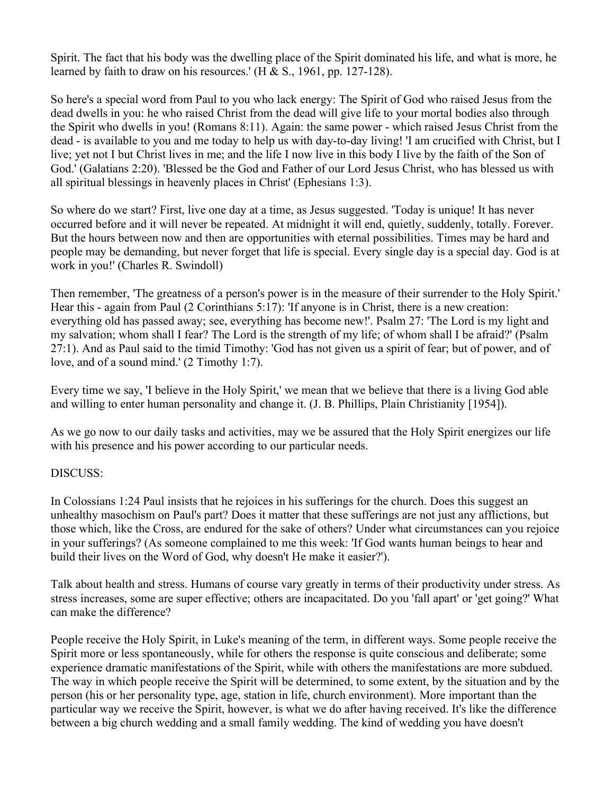Spirit. The fact that his body was the dwelling place of the Spirit dominated his life, and what is more, he learned by faith to draw on his resources.'  $(H & S., 1961, pp. 127-128)$ .

So here's a special word from Paul to you who lack energy: The Spirit of God who raised Jesus from the dead dwells in you: he who raised Christ from the dead will give life to your mortal bodies also through the Spirit who dwells in you! (Romans 8:11). Again: the same power - which raised Jesus Christ from the dead - is available to you and me today to help us with day-to-day living! 'I am crucified with Christ, but I live; yet not I but Christ lives in me; and the life I now live in this body I live by the faith of the Son of God.' (Galatians 2:20). 'Blessed be the God and Father of our Lord Jesus Christ, who has blessed us with all spiritual blessings in heavenly places in Christ' (Ephesians 1:3).

So where do we start? First, live one day at a time, as Jesus suggested. 'Today is unique! It has never occurred before and it will never be repeated. At midnight it will end, quietly, suddenly, totally. Forever. But the hours between now and then are opportunities with eternal possibilities. Times may be hard and people may be demanding, but never forget that life is special. Every single day is a special day. God is at work in you!' (Charles R. Swindoll)

Then remember, 'The greatness of a person's power is in the measure of their surrender to the Holy Spirit.' Hear this - again from Paul (2 Corinthians 5:17): 'If anyone is in Christ, there is a new creation: everything old has passed away; see, everything has become new!'. Psalm 27: 'The Lord is my light and my salvation; whom shall I fear? The Lord is the strength of my life; of whom shall I be afraid?' (Psalm 27:1). And as Paul said to the timid Timothy: 'God has not given us a spirit of fear; but of power, and of love, and of a sound mind.' (2 Timothy 1:7).

Every time we say, 'I believe in the Holy Spirit,' we mean that we believe that there is a living God able and willing to enter human personality and change it. (J. B. Phillips, Plain Christianity [1954]).

As we go now to our daily tasks and activities, may we be assured that the Holy Spirit energizes our life with his presence and his power according to our particular needs.

## DISCUSS:

In Colossians 1:24 Paul insists that he rejoices in his sufferings for the church. Does this suggest an unhealthy masochism on Paul's part? Does it matter that these sufferings are not just any afflictions, but those which, like the Cross, are endured for the sake of others? Under what circumstances can you rejoice in your sufferings? (As someone complained to me this week: 'If God wants human beings to hear and build their lives on the Word of God, why doesn't He make it easier?').

Talk about health and stress. Humans of course vary greatly in terms of their productivity under stress. As stress increases, some are super effective; others are incapacitated. Do you 'fall apart' or 'get going?' What can make the difference?

People receive the Holy Spirit, in Luke's meaning of the term, in different ways. Some people receive the Spirit more or less spontaneously, while for others the response is quite conscious and deliberate; some experience dramatic manifestations of the Spirit, while with others the manifestations are more subdued. The way in which people receive the Spirit will be determined, to some extent, by the situation and by the person (his or her personality type, age, station in life, church environment). More important than the particular way we receive the Spirit, however, is what we do after having received. It's like the difference between a big church wedding and a small family wedding. The kind of wedding you have doesn't